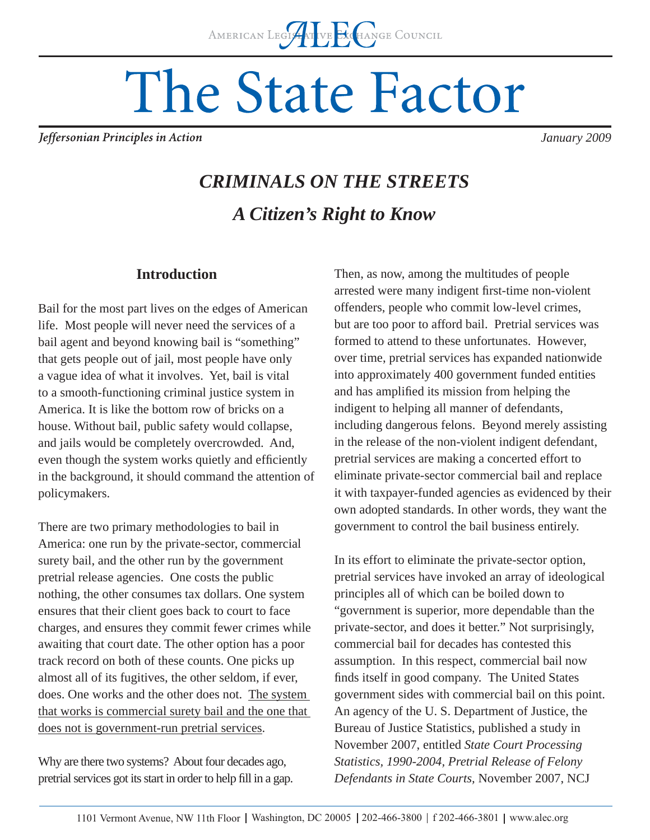# The State Factor

Jeffersonian Principles in Action

*January 2009*

## *CRIMINALS ON THE STREETS A Citizen's Right to Know*

#### **Introduction**

Bail for the most part lives on the edges of American life. Most people will never need the services of a bail agent and beyond knowing bail is "something" that gets people out of jail, most people have only a vague idea of what it involves. Yet, bail is vital to a smooth-functioning criminal justice system in America. It is like the bottom row of bricks on a house. Without bail, public safety would collapse, and jails would be completely overcrowded. And, even though the system works quietly and efficiently in the background, it should command the attention of policymakers.

There are two primary methodologies to bail in America: one run by the private-sector, commercial surety bail, and the other run by the government pretrial release agencies. One costs the public nothing, the other consumes tax dollars. One system ensures that their client goes back to court to face charges, and ensures they commit fewer crimes while awaiting that court date. The other option has a poor track record on both of these counts. One picks up almost all of its fugitives, the other seldom, if ever, does. One works and the other does not. The system that works is commercial surety bail and the one that does not is government-run pretrial services.

Why are there two systems? About four decades ago, pretrial services got its start in order to help fill in a gap. Then, as now, among the multitudes of people arrested were many indigent first-time non-violent offenders, people who commit low-level crimes, but are too poor to afford bail. Pretrial services was formed to attend to these unfortunates. However, over time, pretrial services has expanded nationwide into approximately 400 government funded entities and has amplified its mission from helping the indigent to helping all manner of defendants, including dangerous felons. Beyond merely assisting in the release of the non-violent indigent defendant, pretrial services are making a concerted effort to eliminate private-sector commercial bail and replace it with taxpayer-funded agencies as evidenced by their own adopted standards. In other words, they want the government to control the bail business entirely.

In its effort to eliminate the private-sector option, pretrial services have invoked an array of ideological principles all of which can be boiled down to "government is superior, more dependable than the private-sector, and does it better." Not surprisingly, commercial bail for decades has contested this assumption. In this respect, commercial bail now finds itself in good company. The United States government sides with commercial bail on this point. An agency of the U. S. Department of Justice, the Bureau of Justice Statistics, published a study in November 2007, entitled *State Court Processing Statistics, 1990-2004, Pretrial Release of Felony Defendants in State Courts,* November 2007, NCJ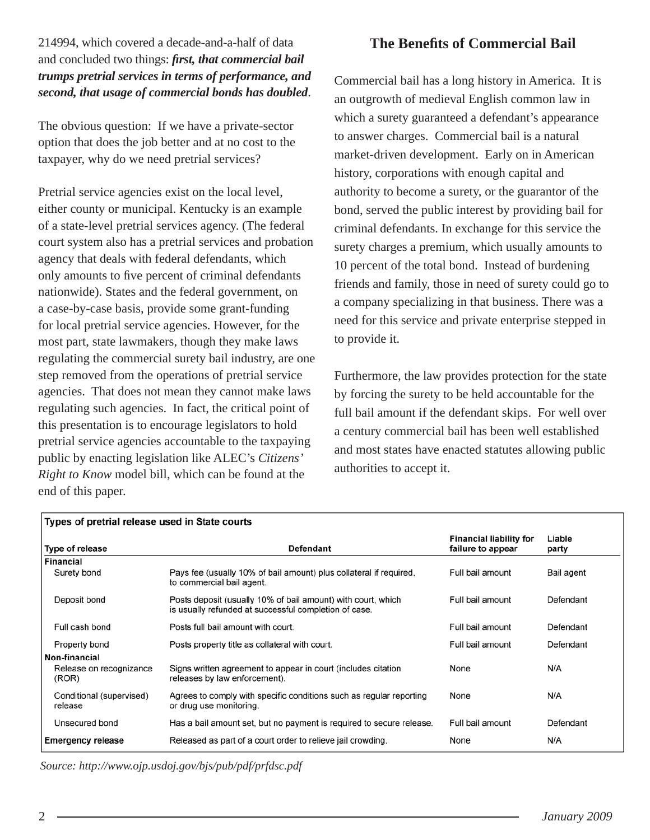#### 214994, which covered a decade-and-a-half of data and concluded two things: *first, that commercial bail trumps pretrial services in terms of performance, and second, that usage of commercial bonds has doubled*.

The obvious question: If we have a private-sector option that does the job better and at no cost to the taxpayer, why do we need pretrial services?

Pretrial service agencies exist on the local level, either county or municipal. Kentucky is an example of a state-level pretrial services agency. (The federal court system also has a pretrial services and probation agency that deals with federal defendants, which only amounts to five percent of criminal defendants nationwide). States and the federal government, on a case-by-case basis, provide some grant-funding for local pretrial service agencies. However, for the most part, state lawmakers, though they make laws regulating the commercial surety bail industry, are one step removed from the operations of pretrial service agencies. That does not mean they cannot make laws regulating such agencies. In fact, the critical point of this presentation is to encourage legislators to hold pretrial service agencies accountable to the taxpaying public by enacting legislation like ALEC's *Citizens' Right to Know* model bill, which can be found at the end of this paper.

### **The Benefits of Commercial Bail**

Commercial bail has a long history in America. It is an outgrowth of medieval English common law in which a surety guaranteed a defendant's appearance to answer charges. Commercial bail is a natural market-driven development. Early on in American history, corporations with enough capital and authority to become a surety, or the guarantor of the bond, served the public interest by providing bail for criminal defendants. In exchange for this service the surety charges a premium, which usually amounts to 10 percent of the total bond. Instead of burdening friends and family, those in need of surety could go to a company specializing in that business. There was a need for this service and private enterprise stepped in to provide it.

Furthermore, the law provides protection for the state by forcing the surety to be held accountable for the full bail amount if the defendant skips. For well over a century commercial bail has been well established and most states have enacted statutes allowing public authorities to accept it.

| Types of pretrial release used in State courts |                                                                                                                       |                                                     |                 |  |
|------------------------------------------------|-----------------------------------------------------------------------------------------------------------------------|-----------------------------------------------------|-----------------|--|
| Type of release                                | Defendant                                                                                                             | <b>Financial liability for</b><br>failure to appear | Liable<br>party |  |
| <b>Financial</b>                               |                                                                                                                       |                                                     |                 |  |
| Surety bond                                    | Pays fee (usually 10% of bail amount) plus collateral if required,<br>to commercial bail agent.                       | Full bail amount                                    | Bail agent      |  |
| Deposit bond                                   | Posts deposit (usually 10% of bail amount) with court, which<br>is usually refunded at successful completion of case. | Full bail amount                                    | Defendant       |  |
| Full cash bond                                 | Posts full bail amount with court.                                                                                    | Full bail amount                                    | Defendant       |  |
| Property bond                                  | Posts property title as collateral with court.                                                                        | Full bail amount                                    | Defendant       |  |
| Non-financial                                  |                                                                                                                       |                                                     |                 |  |
| Release on recognizance<br>(ROR)               | Signs written agreement to appear in court (includes citation<br>releases by law enforcement).                        | None                                                | N/A             |  |
| Conditional (supervised)<br>release            | Agrees to comply with specific conditions such as regular reporting<br>or drug use monitoring.                        | None                                                | N/A             |  |
| Unsecured bond                                 | Has a bail amount set, but no payment is required to secure release.                                                  | Full bail amount                                    | Defendant       |  |
| <b>Emergency release</b>                       | Released as part of a court order to relieve jail crowding.                                                           | None                                                | N/A             |  |

*Source: http://www.ojp.usdoj.gov/bjs/pub/pdf/prfdsc.pdf*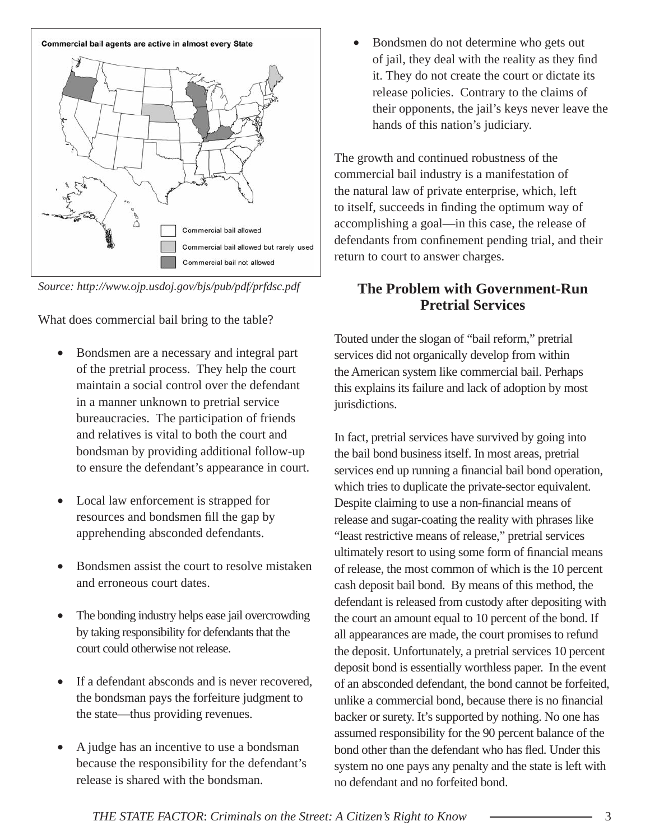

*Source: http://www.ojp.usdoj.gov/bjs/pub/pdf/prfdsc.pdf*

What does commercial bail bring to the table?

- Bondsmen are a necessary and integral part of the pretrial process. They help the court maintain a social control over the defendant in a manner unknown to pretrial service bureaucracies. The participation of friends and relatives is vital to both the court and bondsman by providing additional follow-up to ensure the defendant's appearance in court.
- Local law enforcement is strapped for resources and bondsmen fill the gap by apprehending absconded defendants.
- Bondsmen assist the court to resolve mistaken and erroneous court dates.
- The bonding industry helps ease jail overcrowding by taking responsibility for defendants that the court could otherwise not release.
- If a defendant absconds and is never recovered. the bondsman pays the forfeiture judgment to the state—thus providing revenues.
- A judge has an incentive to use a bondsman because the responsibility for the defendant's release is shared with the bondsman.

• Bondsmen do not determine who gets out of jail, they deal with the reality as they find it. They do not create the court or dictate its release policies. Contrary to the claims of their opponents, the jail's keys never leave the hands of this nation's judiciary.

The growth and continued robustness of the commercial bail industry is a manifestation of the natural law of private enterprise, which, left to itself, succeeds in finding the optimum way of accomplishing a goal—in this case, the release of defendants from confinement pending trial, and their return to court to answer charges.

#### **The Problem with Government-Run Pretrial Services**

Touted under the slogan of "bail reform," pretrial services did not organically develop from within the American system like commercial bail. Perhaps this explains its failure and lack of adoption by most jurisdictions.

In fact, pretrial services have survived by going into the bail bond business itself. In most areas, pretrial services end up running a financial bail bond operation, which tries to duplicate the private-sector equivalent. Despite claiming to use a non-financial means of release and sugar-coating the reality with phrases like "least restrictive means of release," pretrial services ultimately resort to using some form of financial means of release, the most common of which is the 10 percent cash deposit bail bond. By means of this method, the defendant is released from custody after depositing with the court an amount equal to 10 percent of the bond. If all appearances are made, the court promises to refund the deposit. Unfortunately, a pretrial services 10 percent deposit bond is essentially worthless paper. In the event of an absconded defendant, the bond cannot be forfeited, unlike a commercial bond, because there is no financial backer or surety. It's supported by nothing. No one has assumed responsibility for the 90 percent balance of the bond other than the defendant who has fled. Under this system no one pays any penalty and the state is left with no defendant and no forfeited bond.

*THE STATE FACTOR*: *Criminals on the Street: A Citizen's Right to Know* 3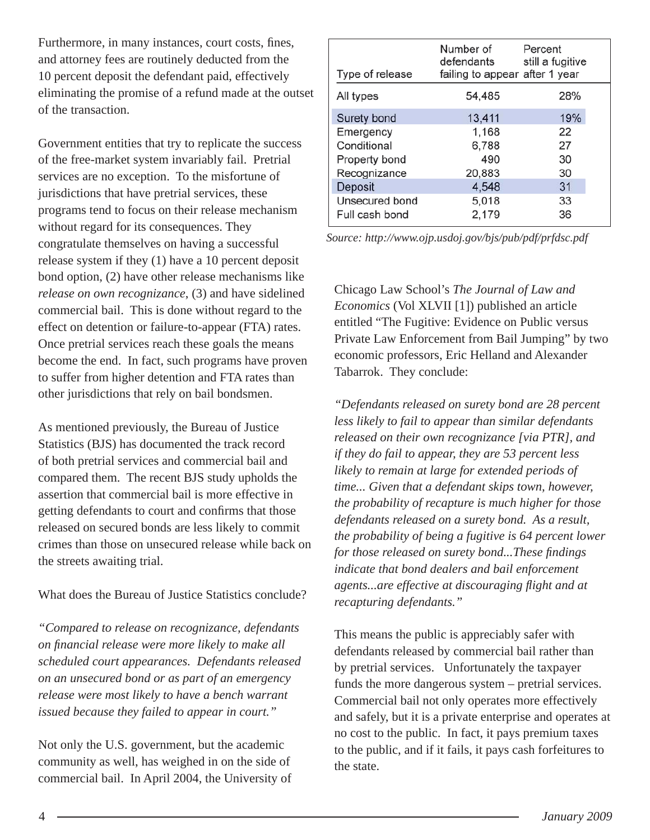Furthermore, in many instances, court costs, fines, and attorney fees are routinely deducted from the 10 percent deposit the defendant paid, effectively eliminating the promise of a refund made at the outset of the transaction.

Government entities that try to replicate the success of the free-market system invariably fail. Pretrial services are no exception. To the misfortune of jurisdictions that have pretrial services, these programs tend to focus on their release mechanism without regard for its consequences. They congratulate themselves on having a successful release system if they (1) have a 10 percent deposit bond option, (2) have other release mechanisms like *release on own recognizance*, (3) and have sidelined commercial bail. This is done without regard to the effect on detention or failure-to-appear (FTA) rates. Once pretrial services reach these goals the means become the end. In fact, such programs have proven to suffer from higher detention and FTA rates than other jurisdictions that rely on bail bondsmen.

As mentioned previously, the Bureau of Justice Statistics (BJS) has documented the track record of both pretrial services and commercial bail and compared them. The recent BJS study upholds the assertion that commercial bail is more effective in getting defendants to court and confirms that those released on secured bonds are less likely to commit crimes than those on unsecured release while back on the streets awaiting trial.

What does the Bureau of Justice Statistics conclude?

*"Compared to release on recognizance, defendants on fi nancial release were more likely to make all scheduled court appearances. Defendants released on an unsecured bond or as part of an emergency release were most likely to have a bench warrant issued because they failed to appear in court."*

Not only the U.S. government, but the academic community as well, has weighed in on the side of commercial bail. In April 2004, the University of

| Type of release | Number of<br>defendants<br>failing to appear after 1 year | Percent<br>still a fugitive |
|-----------------|-----------------------------------------------------------|-----------------------------|
| All types       | 54,485                                                    | 28%                         |
| Surety bond     | 13,411                                                    | 19%                         |
| Emergency       | 1,168                                                     | 22                          |
| Conditional     | 6,788                                                     | 27                          |
| Property bond   | 490                                                       | 30                          |
| Recognizance    | 20,883                                                    | 30                          |
| Deposit         | 4,548                                                     | 31                          |
| Unsecured bond  | 5,018                                                     | 33                          |
| Full cash bond  | 2,179                                                     | 36                          |

*Source: http://www.ojp.usdoj.gov/bjs/pub/pdf/prfdsc.pdf*

Chicago Law School's *The Journal of Law and Economics* (Vol XLVII [1]) published an article entitled "The Fugitive: Evidence on Public versus Private Law Enforcement from Bail Jumping" by two economic professors, Eric Helland and Alexander Tabarrok. They conclude:

*"Defendants released on surety bond are 28 percent less likely to fail to appear than similar defendants released on their own recognizance [via PTR], and if they do fail to appear, they are 53 percent less likely to remain at large for extended periods of time... Given that a defendant skips town, however, the probability of recapture is much higher for those defendants released on a surety bond. As a result, the probability of being a fugitive is 64 percent lower for those released on surety bond...These findings indicate that bond dealers and bail enforcement agents...are effective at discouraging fl ight and at recapturing defendants."*

This means the public is appreciably safer with defendants released by commercial bail rather than by pretrial services. Unfortunately the taxpayer funds the more dangerous system – pretrial services. Commercial bail not only operates more effectively and safely, but it is a private enterprise and operates at no cost to the public. In fact, it pays premium taxes to the public, and if it fails, it pays cash forfeitures to the state.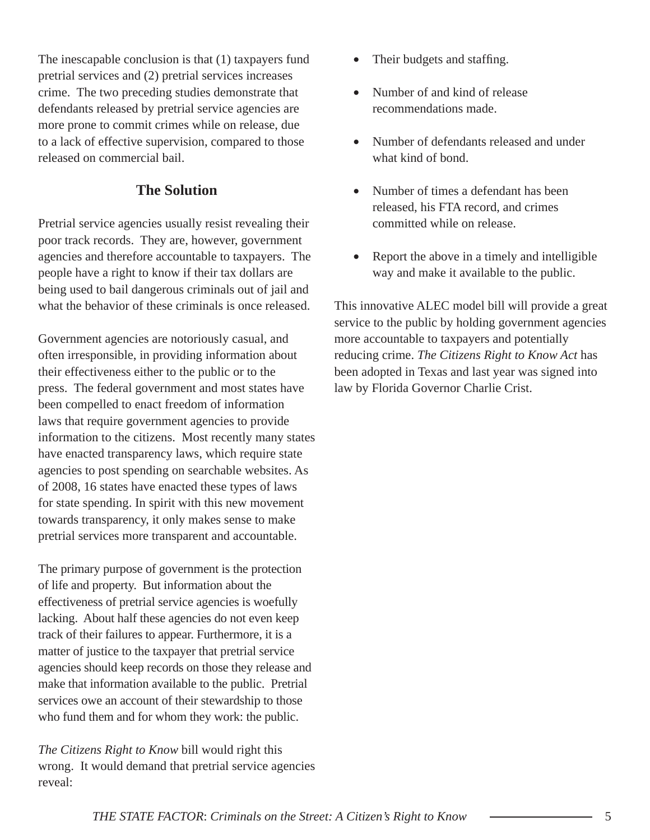The inescapable conclusion is that (1) taxpayers fund pretrial services and (2) pretrial services increases crime. The two preceding studies demonstrate that defendants released by pretrial service agencies are more prone to commit crimes while on release, due to a lack of effective supervision, compared to those released on commercial bail.

#### **The Solution**

Pretrial service agencies usually resist revealing their poor track records. They are, however, government agencies and therefore accountable to taxpayers. The people have a right to know if their tax dollars are being used to bail dangerous criminals out of jail and what the behavior of these criminals is once released.

Government agencies are notoriously casual, and often irresponsible, in providing information about their effectiveness either to the public or to the press. The federal government and most states have been compelled to enact freedom of information laws that require government agencies to provide information to the citizens. Most recently many states have enacted transparency laws, which require state agencies to post spending on searchable websites. As of 2008, 16 states have enacted these types of laws for state spending. In spirit with this new movement towards transparency, it only makes sense to make pretrial services more transparent and accountable.

The primary purpose of government is the protection of life and property. But information about the effectiveness of pretrial service agencies is woefully lacking. About half these agencies do not even keep track of their failures to appear. Furthermore, it is a matter of justice to the taxpayer that pretrial service agencies should keep records on those they release and make that information available to the public. Pretrial services owe an account of their stewardship to those who fund them and for whom they work: the public.

*The Citizens Right to Know* bill would right this wrong. It would demand that pretrial service agencies reveal:

- Their budgets and staffing.
- Number of and kind of release recommendations made.
- Number of defendants released and under what kind of bond.
- Number of times a defendant has been released, his FTA record, and crimes committed while on release.
- Report the above in a timely and intelligible way and make it available to the public.

This innovative ALEC model bill will provide a great service to the public by holding government agencies more accountable to taxpayers and potentially reducing crime. *The Citizens Right to Know Act* has been adopted in Texas and last year was signed into law by Florida Governor Charlie Crist.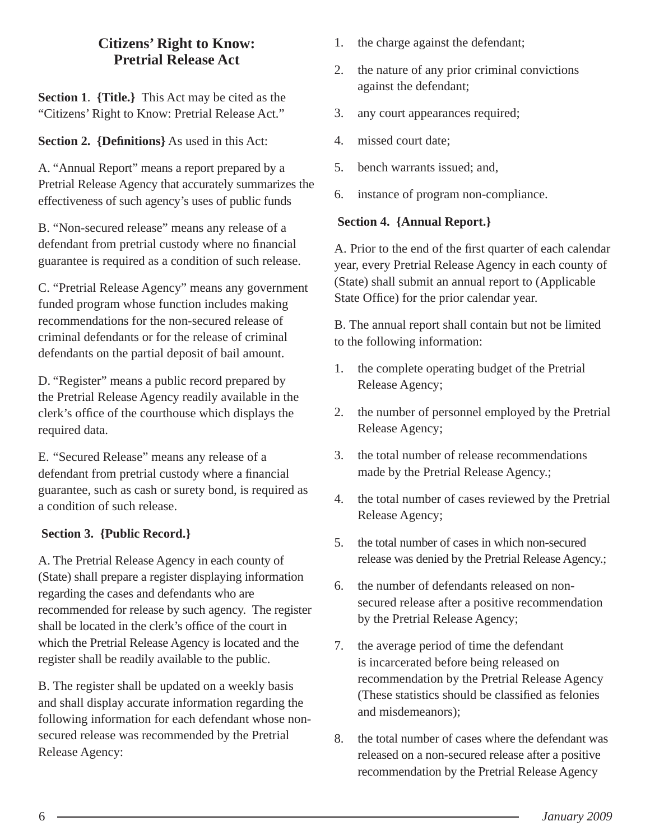#### **Citizens' Right to Know: Pretrial Release Act**

**Section 1**. **{Title.}** This Act may be cited as the "Citizens' Right to Know: Pretrial Release Act."

**Section 2. {Defi nitions}** As used in this Act:

A. "Annual Report" means a report prepared by a Pretrial Release Agency that accurately summarizes the effectiveness of such agency's uses of public funds

B. "Non-secured release" means any release of a defendant from pretrial custody where no financial guarantee is required as a condition of such release.

C. "Pretrial Release Agency" means any government funded program whose function includes making recommendations for the non-secured release of criminal defendants or for the release of criminal defendants on the partial deposit of bail amount.

D. "Register" means a public record prepared by the Pretrial Release Agency readily available in the clerk's office of the courthouse which displays the required data.

E. "Secured Release" means any release of a defendant from pretrial custody where a financial guarantee, such as cash or surety bond, is required as a condition of such release.

#### **Section 3. {Public Record.}**

A. The Pretrial Release Agency in each county of (State) shall prepare a register displaying information regarding the cases and defendants who are recommended for release by such agency. The register shall be located in the clerk's office of the court in which the Pretrial Release Agency is located and the register shall be readily available to the public.

B. The register shall be updated on a weekly basis and shall display accurate information regarding the following information for each defendant whose nonsecured release was recommended by the Pretrial Release Agency:

- 1. the charge against the defendant;
- 2. the nature of any prior criminal convictions against the defendant;
- 3. any court appearances required;
- 4. missed court date;
- 5. bench warrants issued; and,
- 6. instance of program non-compliance.

#### **Section 4. {Annual Report.}**

A. Prior to the end of the first quarter of each calendar year, every Pretrial Release Agency in each county of (State) shall submit an annual report to (Applicable State Office) for the prior calendar year.

B. The annual report shall contain but not be limited to the following information:

- 1. the complete operating budget of the Pretrial Release Agency;
- 2. the number of personnel employed by the Pretrial Release Agency;
- 3. the total number of release recommendations made by the Pretrial Release Agency.;
- 4. the total number of cases reviewed by the Pretrial Release Agency;
- 5. the total number of cases in which non-secured release was denied by the Pretrial Release Agency.;
- 6. the number of defendants released on nonsecured release after a positive recommendation by the Pretrial Release Agency;
- 7. the average period of time the defendant is incarcerated before being released on recommendation by the Pretrial Release Agency (These statistics should be classified as felonies) and misdemeanors);
- 8. the total number of cases where the defendant was released on a non-secured release after a positive recommendation by the Pretrial Release Agency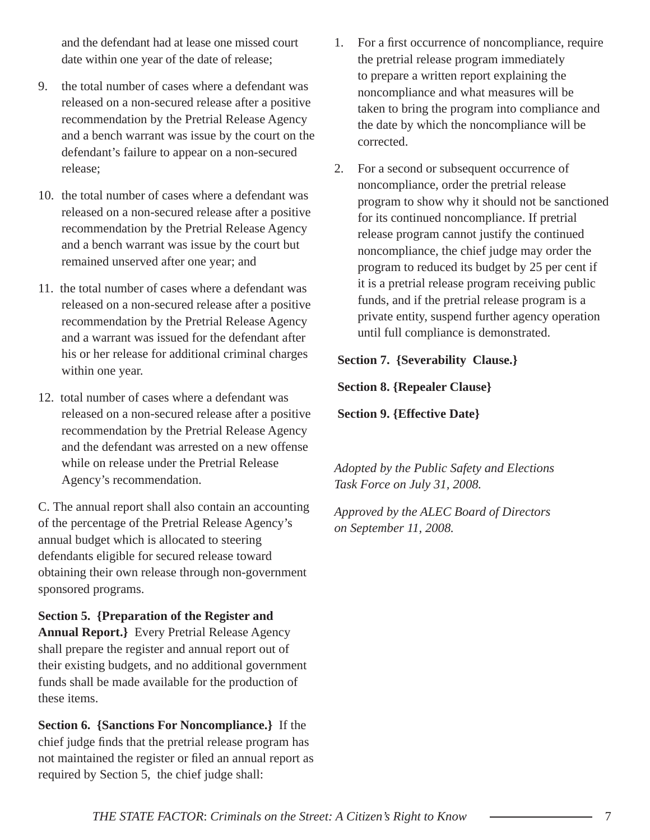and the defendant had at lease one missed court date within one year of the date of release;

- 9. the total number of cases where a defendant was released on a non-secured release after a positive recommendation by the Pretrial Release Agency and a bench warrant was issue by the court on the defendant's failure to appear on a non-secured release;
- 10. the total number of cases where a defendant was released on a non-secured release after a positive recommendation by the Pretrial Release Agency and a bench warrant was issue by the court but remained unserved after one year; and
- 11. the total number of cases where a defendant was released on a non-secured release after a positive recommendation by the Pretrial Release Agency and a warrant was issued for the defendant after his or her release for additional criminal charges within one year.
- 12. total number of cases where a defendant was released on a non-secured release after a positive recommendation by the Pretrial Release Agency and the defendant was arrested on a new offense while on release under the Pretrial Release Agency's recommendation.

C. The annual report shall also contain an accounting of the percentage of the Pretrial Release Agency's annual budget which is allocated to steering defendants eligible for secured release toward obtaining their own release through non-government sponsored programs.

**Section 5. {Preparation of the Register and Annual Report.}** Every Pretrial Release Agency shall prepare the register and annual report out of their existing budgets, and no additional government funds shall be made available for the production of these items.

**Section 6. {Sanctions For Noncompliance.}** If the chief judge finds that the pretrial release program has not maintained the register or filed an annual report as required by Section 5, the chief judge shall:

- 1. For a first occurrence of noncompliance, require the pretrial release program immediately to prepare a written report explaining the noncompliance and what measures will be taken to bring the program into compliance and the date by which the noncompliance will be corrected.
- 2. For a second or subsequent occurrence of noncompliance, order the pretrial release program to show why it should not be sanctioned for its continued noncompliance. If pretrial release program cannot justify the continued noncompliance, the chief judge may order the program to reduced its budget by 25 per cent if it is a pretrial release program receiving public funds, and if the pretrial release program is a private entity, suspend further agency operation until full compliance is demonstrated.

**Section 7. {Severability Clause.}**

 **Section 8. {Repealer Clause}**

**Section 9. {Effective Date}**

*Adopted by the Public Safety and Elections Task Force on July 31, 2008.* 

*Approved by the ALEC Board of Directors on September 11, 2008.*

*THE STATE FACTOR*: *Criminals on the Street: A Citizen's Right to Know* 7